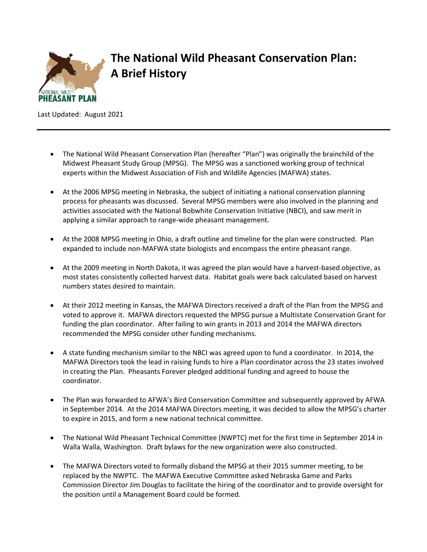

## **The National Wild Pheasant Conservation Plan: A Brief History**

Last Updated: August 2021

- The National Wild Pheasant Conservation Plan (hereafter "Plan") was originally the brainchild of the Midwest Pheasant Study Group (MPSG). The MPSG was a sanctioned working group of technical experts within the Midwest Association of Fish and Wildlife Agencies (MAFWA) states.
- At the 2006 MPSG meeting in Nebraska, the subject of initiating a national conservation planning process for pheasants was discussed. Several MPSG members were also involved in the planning and activities associated with the National Bobwhite Conservation Initiative (NBCI), and saw merit in applying a similar approach to range-wide pheasant management.
- At the 2008 MPSG meeting in Ohio, a draft outline and timeline for the plan were constructed. Plan expanded to include non-MAFWA state biologists and encompass the entire pheasant range.
- At the 2009 meeting in North Dakota, it was agreed the plan would have a harvest-based objective, as most states consistently collected harvest data. Habitat goals were back calculated based on harvest numbers states desired to maintain.
- At their 2012 meeting in Kansas, the MAFWA Directors received a draft of the Plan from the MPSG and voted to approve it. MAFWA directors requested the MPSG pursue a Multistate Conservation Grant for funding the plan coordinator. After failing to win grants in 2013 and 2014 the MAFWA directors recommended the MPSG consider other funding mechanisms.
- A state funding mechanism similar to the NBCI was agreed upon to fund a coordinator. In 2014, the MAFWA Directors took the lead in raising funds to hire a Plan coordinator across the 23 states involved in creating the Plan. Pheasants Forever pledged additional funding and agreed to house the coordinator.
- The Plan was forwarded to AFWA's Bird Conservation Committee and subsequently approved by AFWA in September 2014. At the 2014 MAFWA Directors meeting, it was decided to allow the MPSG's charter to expire in 2015, and form a new national technical committee.
- The National Wild Pheasant Technical Committee (NWPTC) met for the first time in September 2014 in Walla Walla, Washington. Draft bylaws for the new organization were also constructed.
- The MAFWA Directors voted to formally disband the MPSG at their 2015 summer meeting, to be replaced by the NWPTC. The MAFWA Executive Committee asked Nebraska Game and Parks Commission Director Jim Douglas to facilitate the hiring of the coordinator and to provide oversight for the position until a Management Board could be formed.